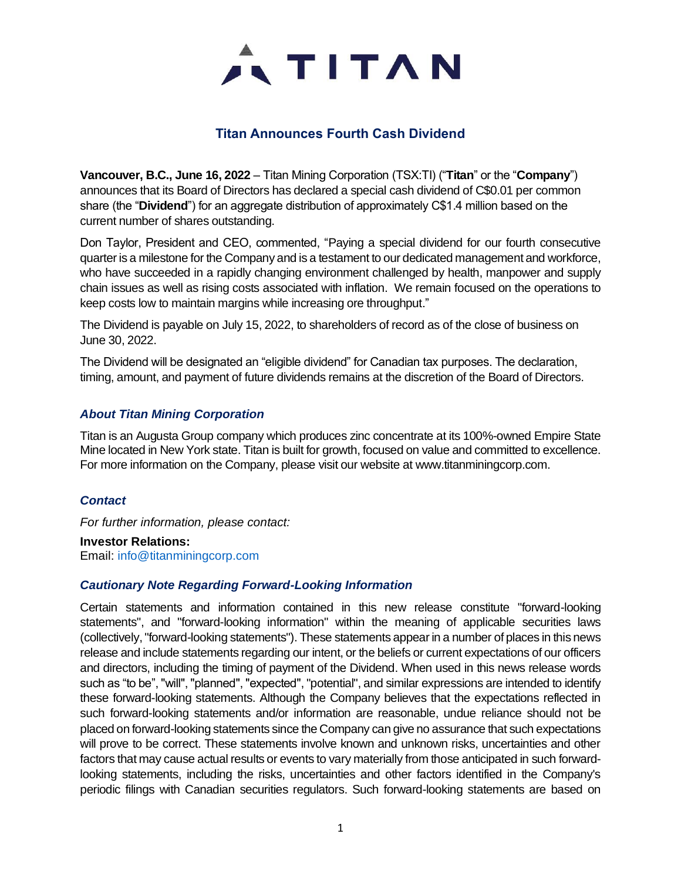

## **Titan Announces Fourth Cash Dividend**

**Vancouver, B.C., June 16, 2022** – Titan Mining Corporation (TSX:TI) ("**Titan**" or the "**Company**") announces that its Board of Directors has declared a special cash dividend of C\$0.01 per common share (the "**Dividend**") for an aggregate distribution of approximately C\$1.4 million based on the current number of shares outstanding.

Don Taylor, President and CEO, commented, "Paying a special dividend for our fourth consecutive quarter is a milestone for the Company and is a testament to our dedicated management and workforce, who have succeeded in a rapidly changing environment challenged by health, manpower and supply chain issues as well as rising costs associated with inflation. We remain focused on the operations to keep costs low to maintain margins while increasing ore throughput."

The Dividend is payable on July 15, 2022, to shareholders of record as of the close of business on June 30, 2022.

The Dividend will be designated an "eligible dividend" for Canadian tax purposes. The declaration, timing, amount, and payment of future dividends remains at the discretion of the Board of Directors.

## *About Titan Mining Corporation*

Titan is an Augusta Group company which produces zinc concentrate at its 100%-owned Empire State Mine located in New York state. Titan is built for growth, focused on value and committed to excellence. For more information on the Company, please visit our website at www.titanminingcorp.com.

## *Contact*

*For further information, please contact:*

**Investor Relations:** Email: info@titanminingcorp.com

## *Cautionary Note Regarding Forward-Looking Information*

Certain statements and information contained in this new release constitute "forward-looking statements", and "forward-looking information" within the meaning of applicable securities laws (collectively, "forward-looking statements"). These statements appear in a number of places in this news release and include statements regarding our intent, or the beliefs or current expectations of our officers and directors, including the timing of payment of the Dividend. When used in this news release words such as "to be", "will", "planned", "expected", "potential", and similar expressions are intended to identify these forward-looking statements. Although the Company believes that the expectations reflected in such forward-looking statements and/or information are reasonable, undue reliance should not be placed on forward-looking statements since the Company can give no assurance that such expectations will prove to be correct. These statements involve known and unknown risks, uncertainties and other factors that may cause actual results or events to vary materially from those anticipated in such forwardlooking statements, including the risks, uncertainties and other factors identified in the Company's periodic filings with Canadian securities regulators. Such forward-looking statements are based on